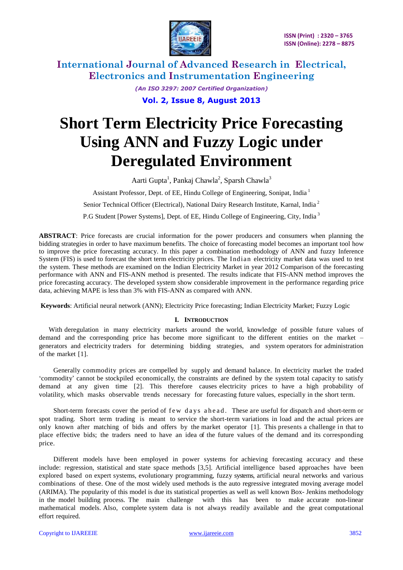

> *(An ISO 3297: 2007 Certified Organization)* **Vol. 2, Issue 8, August 2013**

# **Short Term Electricity Price Forecasting Using ANN and Fuzzy Logic under Deregulated Environment**

Aarti Gupta<sup>1</sup>, Pankaj Chawla<sup>2</sup>, Sparsh Chawla<sup>3</sup> Assistant Professor, Dept. of EE, Hindu College of Engineering, Sonipat, India <sup>1</sup> Senior Technical Officer (Electrical), National Dairy Research Institute, Karnal, India<sup>2</sup> P.G Student [Power Systems], Dept. of EE, Hindu College of Engineering, City, India<sup>3</sup>

**ABSTRACT**: Price forecasts are crucial information for the power producers and consumers when planning the bidding strategies in order to have maximum benefits. The choice of forecasting model becomes an important tool how to improve the price forecasting accuracy. In this paper a combination methodology of ANN and fuzzy Inference System (FIS) is used to forecast the short term electricity prices. The Indian electricity market data was used to test the system. These methods are examined on the Indian Electricity Market in year 2012 Comparison of the forecasting performance with ANN and FIS-ANN method is presented. The results indicate that FIS-ANN method improves the price forecasting accuracy. The developed system show considerable improvement in the performance regarding price data, achieving MAPE is less than 3% with FIS-ANN as compared with ANN.

**Keywords**: Artificial neural network (ANN); Electricity Price forecasting; Indian Electricity Market; Fuzzy Logic

#### **I. INTRODUCTION**

With deregulation in many electricity markets around the world, knowledge of possible future values of demand and the corresponding price has become more significant to the different entities on the market – generators and electricity traders for determining bidding strategies, and system operators for administration of the market [1].

Generally commodity prices are compelled by supply and demand balance. In electricity market the traded "commodity" cannot be stockpiled economically, the constraints are defined by the system total capacity to satisfy demand at any given time [2]. This therefore causes electricity prices to have a high probability of volatility, which masks observable trends necessary for forecasting future values, especially in the short term.

Short-term forecasts cover the period of f ew days ahead. These are useful for dispatch and short-term or spot trading. Short term trading is meant to service the short-term variations in load and the actual prices are only known after matching of bids and offers by the market operator [1]. This presents a challenge in that to place effective bids; the traders need to have an idea of the future values of the demand and its corresponding price.

Different models have been employed in power systems for achieving forecasting accuracy and these include: regression, statistical and state space methods [3,5]. Artificial intelligence based approaches have been explored based on expert systems, evolutionary programming, fuzzy systems, artificial neural networks and various combinations of these. One of the most widely used methods is the auto regressive integrated moving average model (ARIMA). The popularity of this model is due its statistical properties as well as well known Box- Jenkins methodology in the model building process. The main challenge with this has been to make accurate non-linear mathematical models. Also, complete system data is not always readily available and the great computational effort required.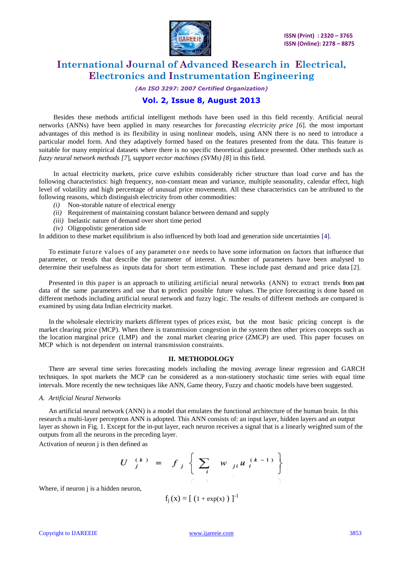

*(An ISO 3297: 2007 Certified Organization)*

### **Vol. 2, Issue 8, August 2013**

Besides these methods artificial intelligent methods have been used in this field recently. Artificial neural networks (ANNs) have been applied in many researches for *forecasting electricity price [6*]. the most important advantages of this method is its flexibility in using nonlinear models, using ANN there is no need to introduce a particular model form. And they adaptively formed based on the features presented from the data. This feature is suitable for many empirical datasets where there is no specific theoretical guidance presented. Other methods such as *fuzzy neural network methods [7*], s*upport vector machines (SVMs) [8*] in this field.

In actual electricity markets, price curve exhibits considerably richer structure than load curve and has the following characteristics: high frequency, non-constant mean and variance, multiple seasonality, calendar effect, high level of volatility and high percentage of unusual price movements. All these characteristics can be attributed to the following reasons, which distinguish electricity from other commodities:

- *(i)* Non-storable nature of electrical energy
- *(ii)* Requirement of maintaining constant balance between demand and supply
- *(iii)* Inelastic nature of demand over short time period
- *(iv)* Oligopolistic generation side

In addition to these market equilibrium is also influenced by both load and generation side uncertainties [4].

To estimate future values of any parameter one needs to have some information on factors that influence that parameter, or trends that describe the parameter of interest. A number of parameters have been analysed to determine their usefulness as inputs data for short term estimation. These include past demand and price data [2].

Presented in this paper is an approach to utilizing artificial neural networks (ANN) to extract trends from past data of the same parameters and use that to predict possible future values. The price forecasting is done based on different methods including artificial neural network and fuzzy logic. The results of different methods are compared is examined by using data Indian electricity market.

In the wholesale electricity markets different types of prices exist, but the most basic pricing concept is the market clearing price (MCP). When there is transmission congestion in the system then other prices concepts such as the location marginal price (LMP) and the zonal market clearing price (ZMCP) are used. This paper focuses on MCP which is not dependent on internal transmission constraints.

#### **II. METHODOLOGY**

There are several time series forecasting models including the moving average linear regression and GARCH techniques. In spot markets the MCP can be considered as a non-stationery stochastic time series with equal time intervals. More recently the new techniques like ANN, Game theory, Fuzzy and chaotic models have been suggested.

#### *A. Artificial Neural Networks*

An artificial neural network (ANN) is a model that emulates the functional architecture of the human brain. In this research a multi-layer perceptron ANN is adopted. This ANN consists of: an input layer, hidden layers and an output layer as shown in Fig. 1. Except for the in-put layer, each neuron receives a signal that is a linearly weighted sum of the outputs from all the neurons in the preceding layer.

Activation of neuron j is then defined as

$$
U \begin{bmatrix} k \\ j \end{bmatrix} = f_j \left\{ \sum_i w_{ji} u_i^{(k-1)} \right\}
$$

Where, if neuron *j* is a hidden neuron,

$$
f_j(x) = [(1 + \exp(x)) ]^{-1}
$$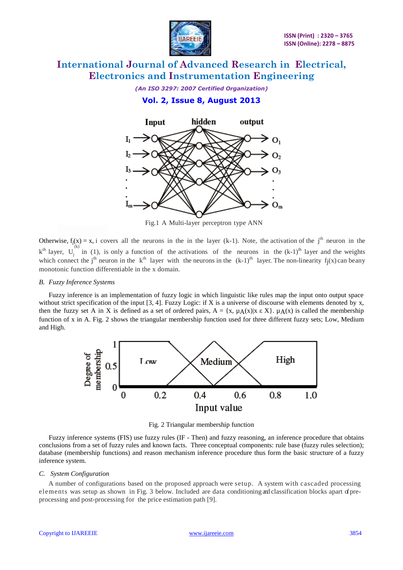

*(An ISO 3297: 2007 Certified Organization)* **Vol. 2, Issue 8, August 2013**



Fig.1 A Multi-layer perceptron type ANN

Otherwise,  $f_j(x) = x$ , i covers all the neurons in the in the layer (k-1). Note, the activation of the j<sup>th</sup> neuron in the  $k<sup>th</sup>$  layer,  $U_j^{(k)}$  in (1), is only a function of the activations of the neurons in the  $(k-1)^{th}$  layer and the weights which connect the j<sup>th</sup> neuron in the k<sup>th</sup> layer with the neurons in the  $(k-1)$ <sup>th</sup> layer. The non-linearity f<sub>j</sub>(x) can beany monotonic function differentiable in the x domain.

#### *B. Fuzzy Inference Systems*

Fuzzy inference is an implementation of fuzzy logic in which linguistic like rules map the input onto output space without strict specification of the input [3, 4]. Fuzzy Logic: if X is a universe of discourse with elements denoted by x, then the fuzzy set A in X is defined as a set of ordered pairs,  $A = \{x, \mu_A(x) | x \in X\}$ .  $\mu_A(x)$  is called the membership function of x in A. Fig. 2 shows the triangular membership function used for three different fuzzy sets; Low, Medium and High.



Fig. 2 Triangular membership function

Fuzzy inference systems (FIS) use fuzzy rules (IF - Then) and fuzzy reasoning, an inference procedure that obtains conclusions from a set of fuzzy rules and known facts. Three conceptual components: rule base (fuzzy rules selection); database (membership functions) and reason mechanism inference procedure thus form the basic structure of a fuzzy inference system.

#### *C. System Configuration*

A number of configurations based on the proposed approach were setup. A system with cascaded processing elements was setup as shown in Fig. 3 below. Included are data conditioning and classification blocks apart ofpreprocessing and post-processing for the price estimation path [9].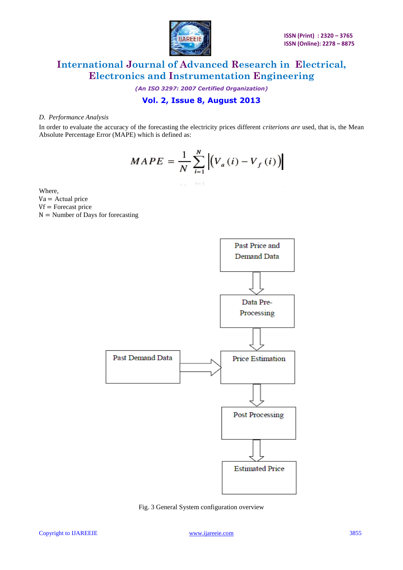

*(An ISO 3297: 2007 Certified Organization)*

### **Vol. 2, Issue 8, August 2013**

#### *D. Performance Analysis*

In order to evaluate the accuracy of the forecasting the electricity prices different *criterions are* used, that is, the Mean Absolute Percentage Error (MAPE) which is defined as:

$$
MAPE = \frac{1}{N} \sum_{i=1}^{N} \left| \left( V_a(i) - V_f(i) \right) \right|
$$

 $\tau$   $\lambda$   $\tau$   $\tau$   $\tau$ 

Where,

- $Va =$  Actual price
- $Vf =$ Forecast price

 $N =$  Number of Days for forecasting



Fig. 3 General System configuration overview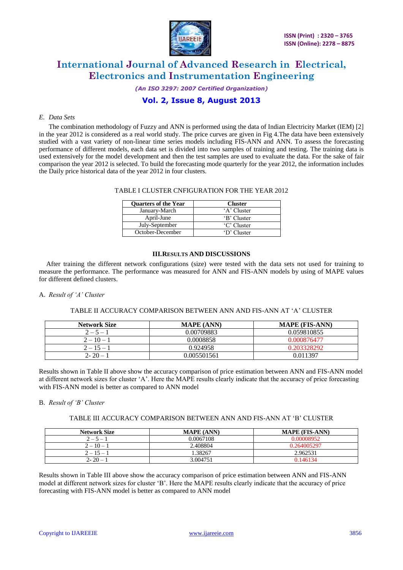

*(An ISO 3297: 2007 Certified Organization)*

### **Vol. 2, Issue 8, August 2013**

#### *E. Data Sets*

The combination methodology of Fuzzy and ANN is performed using the data of Indian Electricity Market (IEM) [2] in the year 2012 is considered as a real world study. The price curves are given in Fig 4.The data have been extensively studied with a vast variety of non-linear time series models including FIS-ANN and ANN. To assess the forecasting performance of different models, each data set is divided into two samples of training and testing. The training data is used extensively for the model development and then the test samples are used to evaluate the data. For the sake of fair comparison the year 2012 is selected. To build the forecasting mode quarterly for the year 2012, the information includes the Daily price historical data of the year 2012 in four clusters.

#### TABLE I CLUSTER CNFIGURATION FOR THE YEAR 2012

| <b>Ouarters of the Year</b> | <b>Cluster</b> |
|-----------------------------|----------------|
| January-March               | 'A' Cluster    |
| April-June                  | 'B' Cluster    |
| July-September              | 'C' Cluster    |
| October-December            | 'D' Cluster    |

#### **III.RESULTS AND DISCUSSIONS**

After training the different network configurations (size) were tested with the data sets not used for training to measure the performance. The performance was measured for ANN and FIS-ANN models by using of MAPE values for different defined clusters.

#### A. *Result of 'A' Cluster*

#### TABLE II ACCURACY COMPARISON BETWEEN ANN AND FIS-ANN AT "A" CLUSTER

| <b>Network Size</b> | <b>MAPE (ANN)</b> | <b>MAPE (FIS-ANN)</b> |
|---------------------|-------------------|-----------------------|
| $2 - 5 - 1$         | 0.00709883        | 0.059810855           |
| $2 - 10 - 1$        | 0.0008858         | 0.000876477           |
| $2 - 15 - 1$        | 0.924958          | 0.203328292           |
| $2 - 20 -$          | 0.005501561       | 0.011397              |

Results shown in Table II above show the accuracy comparison of price estimation between ANN and FIS-ANN model at different network sizes for cluster "A". Here the MAPE results clearly indicate that the accuracy of price forecasting with FIS-ANN model is better as compared to ANN model

#### B. *Result of 'B' Cluster*

#### TABLE III ACCURACY COMPARISON BETWEEN ANN AND FIS-ANN AT "B" CLUSTER

| <b>Network Size</b> | <b>MAPE (ANN)</b> | <b>MAPE (FIS-ANN)</b> |
|---------------------|-------------------|-----------------------|
| $2 - 5 -$           | 0.0067108         | 0.00008952            |
| $2 - 10 - 1$        | 2.408804          | 0.264005297           |
| $2 - 15 - 1$        | .38267            | 2.962531              |
| $2 - 20 - 1$        | 3.004751          | 0.146134              |

Results shown in Table III above show the accuracy comparison of price estimation between ANN and FIS-ANN model at different network sizes for cluster "B". Here the MAPE results clearly indicate that the accuracy of price forecasting with FIS-ANN model is better as compared to ANN model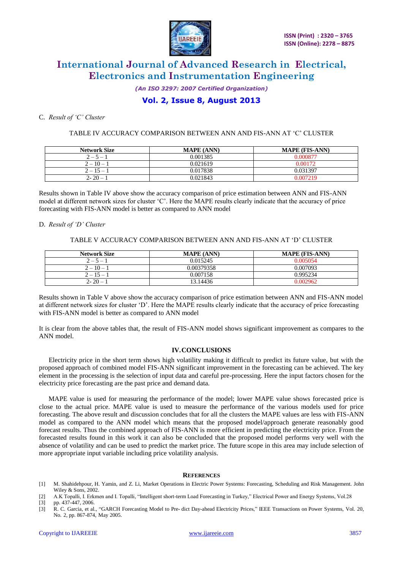

*(An ISO 3297: 2007 Certified Organization)*

### **Vol. 2, Issue 8, August 2013**

#### C. *Result of 'C' Cluster*

#### TABLE IV ACCURACY COMPARISON BETWEEN ANN AND FIS-ANN AT "C" CLUSTER

| <b>Network Size</b> | <b>MAPE (ANN)</b> | <b>MAPE (FIS-ANN)</b> |
|---------------------|-------------------|-----------------------|
| $2 - 5 -$           | 0.001385          | 0.000877              |
| $2 - 10 - 1$        | 0.021619          | 0.00172               |
| $2 - 15 - 1$        | 0.017838          | 0.031397              |
| $2 - 20 -$          | 0.021843          | 0.007219              |

Results shown in Table IV above show the accuracy comparison of price estimation between ANN and FIS-ANN model at different network sizes for cluster "C". Here the MAPE results clearly indicate that the accuracy of price forecasting with FIS-ANN model is better as compared to ANN model

#### D. *Result of 'D' Cluster*

#### TABLE V ACCURACY COMPARISON BETWEEN ANN AND FIS-ANN AT "D" CLUSTER

| <b>Network Size</b> | <b>MAPE (ANN)</b> | <b>MAPE (FIS-ANN)</b> |
|---------------------|-------------------|-----------------------|
| $2 - 5 -$           | 0.015245          | ገ በበ5በ54              |
| $2 - 10 - 1$        | 0.00379358        | 0.007093              |
| $2 - 15 - 1$        | 0.007158          | 0.995234              |
| $2 - 20 -$          | 13.14436          | ).002962              |

Results shown in Table V above show the accuracy comparison of price estimation between ANN and FIS-ANN model at different network sizes for cluster "D". Here the MAPE results clearly indicate that the accuracy of price forecasting with FIS-ANN model is better as compared to ANN model

It is clear from the above tables that, the result of FIS-ANN model shows significant improvement as compares to the ANN model.

#### **IV.CONCLUSIONS**

Electricity price in the short term shows high volatility making it difficult to predict its future value, but with the proposed approach of combined model FIS-ANN significant improvement in the forecasting can be achieved. The key element in the processing is the selection of input data and careful pre-processing. Here the input factors chosen for the electricity price forecasting are the past price and demand data.

MAPE value is used for measuring the performance of the model; lower MAPE value shows forecasted price is close to the actual price. MAPE value is used to measure the performance of the various models used for price forecasting. The above result and discussion concludes that for all the clusters the MAPE values are less with FIS-ANN model as compared to the ANN model which means that the proposed model/approach generate reasonably good forecast results. Thus the combined approach of FIS-ANN is more efficient in predicting the electricity price. From the forecasted results found in this work it can also be concluded that the proposed model performs very well with the absence of volatility and can be used to predict the market price. The future scope in this area may include selection of more appropriate input variable including price volatility analysis.

#### **REFERENCES**

- [1] M. Shahidehpour, H. Yamin, and Z. Li, Market Operations in Electric Power Systems: Forecasting, Scheduling and Risk Management. John Wiley & Sons, 2002.
- [2] A.K Topalli, I. Erkmen and I. Topalli, "Intelligent short-term Load Forecasting in Turkey," Electrical Power and Energy Systems, Vol.28 [3] pp. 437-447, 2006.
- FIGURE 1.5 R. C. Garcia, et al., "GARCH Forecasting Model to Pre- dict Day-ahead Electricity Prices." IEEE Transactions on Power Systems, Vol. 20, No. 2, pp. 867-874, May 2005.